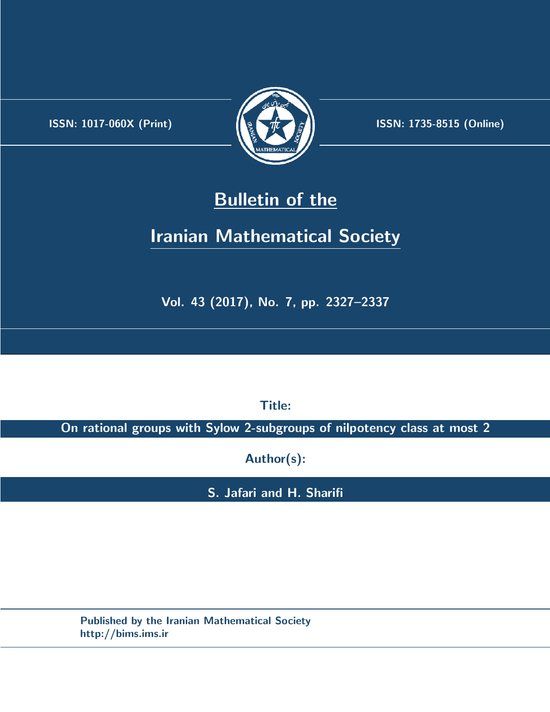.



**ISSN:** 1017-060X (Print)  $\left(\frac{1}{2}\right)$   $\frac{1}{2}$   $\frac{1}{2}$   $\frac{1}{2}$  **ISSN:** 1735-8515 (Online)

# **Bulletin of the**

# **Iranian Mathematical Society**

**Vol. 43 (2017), No. 7, pp. 2327–2337**

**Title:**

**On rational groups with Sylow 2-subgroups of nilpotency class at most 2**

**Author(s):**

**S. Jafari and H. Sharifi**

**Published by the Iranian Mathematical Society http://bims.ims.ir**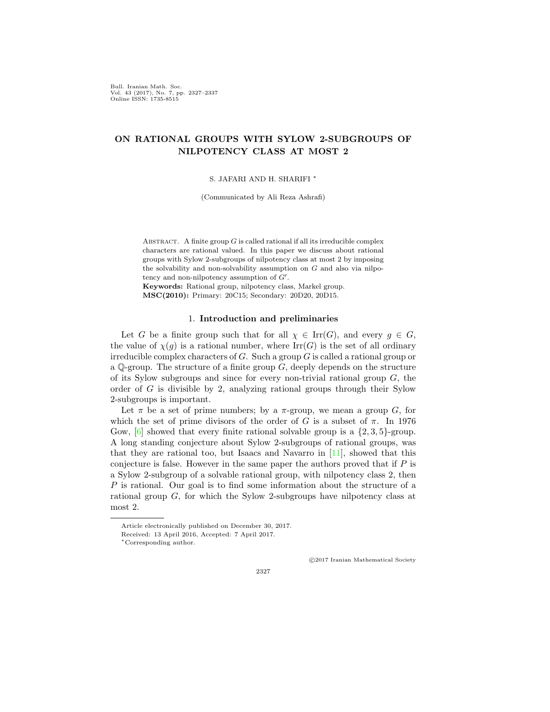Bull. Iranian Math. Soc. Vol. 43 (2017), No. 7, pp. 2327–2337 Online ISSN: 1735-8515

# **ON RATIONAL GROUPS WITH SYLOW 2-SUBGROUPS OF NILPOTENCY CLASS AT MOST 2**

S. JAFARI AND H. SHARIFI *∗*

(Communicated by Ali Reza Ashrafi)

ABSTRACT. A finite group  $G$  is called rational if all its irreducible complex characters are rational valued. In this paper we discuss about rational groups with Sylow 2-subgroups of nilpotency class at most 2 by imposing the solvability and non-solvability assumption on *G* and also via nilpotency and non-nilpotency assumption of *G′* .

**Keywords:** Rational group, nilpotency class, Markel group. **MSC(2010):** Primary: 20C15; Secondary: 20D20, 20D15.

### 1. **Introduction and preliminaries**

Let *G* be a finite group such that for all  $\chi \in \text{Irr}(G)$ , and every  $g \in G$ , the value of  $\chi(g)$  is a rational number, where  $\text{Irr}(G)$  is the set of all ordinary irreducible complex characters of *G*. Such a group *G* is called a rational group or a Q-group. The structure of a finite group *G*, deeply depends on the structure of its Sylow subgroups and since for every non-trivial rational group *G*, the order of *G* is divisible by 2, analyzing rational groups through their Sylow 2-subgroups is important.

Let  $\pi$  be a set of prime numbers; by a  $\pi$ -group, we mean a group *G*, for which the set of prime divisors of the order of *G* is a subset of  $\pi$ . In 1976 Gow, [\[6](#page-10-0)] showed that every finite rational solvable group is a *{*2*,* 3*,* 5*}*-group. A long standing conjecture about Sylow 2-subgroups of rational groups, was that they are rational too, but Isaacs and Navarro in  $[11]$ , showed that this conjecture is false. However in the same paper the authors proved that if *P* is a Sylow 2-subgroup of a solvable rational group, with nilpotency class 2, then *P* is rational. Our goal is to find some information about the structure of a rational group *G*, for which the Sylow 2-subgroups have nilpotency class at most 2.

*⃝*c 2017 Iranian Mathematical Society

Article electronically published on December 30, 2017.

Received: 13 April 2016, Accepted: 7 April 2017.

*<sup>∗</sup>*Corresponding author.

<sup>2327</sup>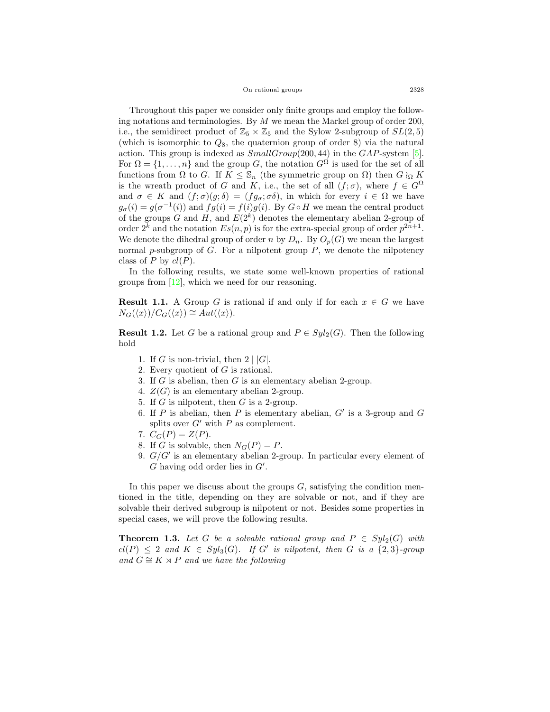On rational groups 2328

Throughout this paper we consider only finite groups and employ the following notations and terminologies. By *M* we mean the Markel group of order 200, i.e., the semidirect product of  $\mathbb{Z}_5 \times \mathbb{Z}_5$  and the Sylow 2-subgroup of  $SL(2,5)$ (which is isomorphic to *Q*8, the quaternion group of order 8) via the natural action. This group is indexed as *SmallGroup*(200*,* 44) in the *GAP*-system[[5\]](#page-10-2). For  $\Omega = \{1, \ldots, n\}$  and the group *G*, the notation  $G^{\Omega}$  is used for the set of all functions from  $\Omega$  to *G*. If  $K \leq \mathbb{S}_n$  (the symmetric group on  $\Omega$ ) then  $G \wr_{\Omega} K$ is the wreath product of *G* and *K*, i.e., the set of all  $(f; \sigma)$ , where  $f \in G^{\Omega}$ and  $\sigma \in K$  and  $(f; \sigma)(g; \delta) = (fg_{\sigma}; \sigma\delta)$ , in which for every  $i \in \Omega$  we have  $g_{\sigma}(i) = g(\sigma^{-1}(i))$  and  $fg(i) = f(i)g(i)$ . By  $G \circ H$  we mean the central product of the groups *G* and *H*, and  $E(2^k)$  denotes the elementary abelian 2-group of order  $2^k$  and the notation  $Es(n, p)$  is for the extra-special group of order  $p^{2n+1}$ . We denote the dihedral group of order *n* by  $D_n$ . By  $O_p(G)$  we mean the largest normal *p*-subgroup of *G*. For a nilpotent group *P*, we denote the nilpotency class of *P* by  $cl(P)$ .

In the following results, we state some well-known properties of rational groupsfrom  $[12]$  $[12]$ , which we need for our reasoning.

<span id="page-2-1"></span>**Result 1.1.** A Group *G* is rational if and only if for each  $x \in G$  we have  $N_G(\langle x \rangle) / C_G(\langle x \rangle) \cong Aut(\langle x \rangle).$ 

<span id="page-2-0"></span>**Result 1.2.** Let *G* be a rational group and  $P \in Syl_2(G)$ . Then the following hold

- 1. If *G* is non-trivial, then  $2 \mid |G|$ .
- 2. Every quotient of *G* is rational.
- 3. If *G* is abelian, then *G* is an elementary abelian 2-group.
- 4.  $Z(G)$  is an elementary abelian 2-group.
- 5. If *G* is nilpotent, then *G* is a 2-group.
- 6. If *P* is abelian, then *P* is elementary abelian, *G′* is a 3-group and *G* splits over  $G'$  with  $P$  as complement.
- 7.  $C_G(P) = Z(P)$ .
- 8. If *G* is solvable, then  $N_G(P) = P$ .
- 9. *G/G′* is an elementary abelian 2-group. In particular every element of *G* having odd order lies in *G′* .

In this paper we discuss about the groups *G*, satisfying the condition mentioned in the title, depending on they are solvable or not, and if they are solvable their derived subgroup is nilpotent or not. Besides some properties in special cases, we will prove the following results.

<span id="page-2-2"></span>**Theorem 1.3.** Let G be a solvable rational group and  $P \in Syl_2(G)$  with  $cl(P) \leq 2$  and  $K \in Syl_3(G)$ *.* If  $G'$  is nilpotent, then  $G$  is a  $\{2,3\}$ -group *and*  $G \cong K \times P$  *and we have the following*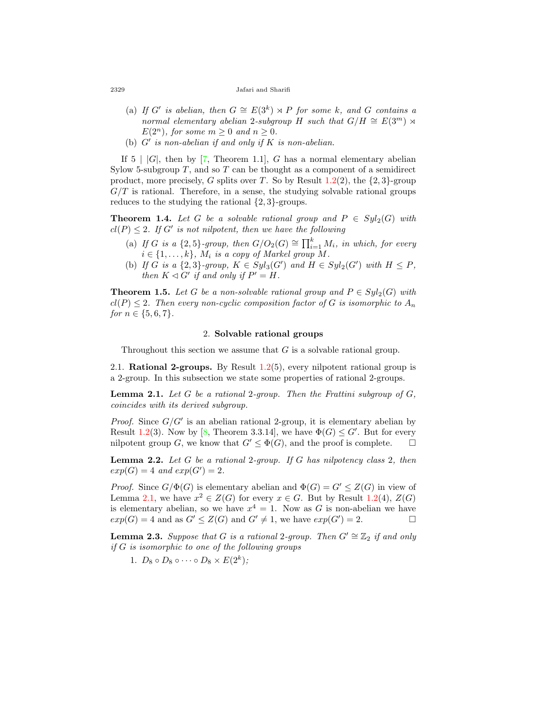#### 2329 Jafari and Sharifi

- (a) If *G'* is abelian, then  $G \cong E(3^k) \rtimes P$  for some *k*, and *G* contains a *normal elementary abelian* 2*-subgroup H such that*  $G/H \cong E(3^m) \rtimes$ *E*( $2^n$ )*, for some*  $m > 0$  *and*  $n > 0$ *.*
- (b) *G′ is non-abelian if and only if K is non-abelian.*

If $5 | |G|$ , then by [[7,](#page-10-4) Theorem 1.1], *G* has a normal elementary abelian Sylow 5-subgroup *T*, and so *T* can be thought as a component of a semidirect product, more precisely, *G* splits over *T*. So by Result [1.2\(](#page-2-0)2), the *{*2*,* 3*}*-group  $G/T$  is rational. Therefore, in a sense, the studying solvable rational groups reduces to the studying the rational *{*2*,* 3*}*-groups.

<span id="page-3-3"></span>**Theorem 1.4.** Let G be a solvable rational group and  $P \in Syl_2(G)$  with  $cl(P) \leq 2$ *. If G'* is not nilpotent, then we have the following

- (a) If *G* is a  $\{2, 5\}$ -group, then  $G/O_2(G) \cong \prod_{i=1}^k M_i$ , in which, for every  $i \in \{1, \ldots, k\}$ ,  $M_i$  *is a copy of Markel group*  $M$ *.*
- (b) If G is a  $\{2,3\}$ -group,  $K \in Syl_3(G')$  and  $H \in Syl_2(G')$  with  $H \leq P$ , *then*  $K \triangleleft G'$  *if and only if*  $P' = H$ *.*

<span id="page-3-4"></span>**Theorem 1.5.** *Let G be a non-solvable rational group and*  $P \in Syl_2(G)$  *with*  $cl(P) \leq 2$ . Then every non-cyclic composition factor of G is isomorphic to  $A_n$ *for*  $n \in \{5, 6, 7\}$ *.* 

### 2. **Solvable rational groups**

Throughout this section we assume that *G* is a solvable rational group.

2.1. **Rational 2-groups.** By Result [1.2\(](#page-2-0)5), every nilpotent rational group is a 2-group. In this subsection we state some properties of rational 2-groups.

<span id="page-3-0"></span>**Lemma 2.1.** *Let G be a rational* 2*-group. Then the Frattini subgroup of G, coincides with its derived subgroup.*

*Proof.* Since  $G/G'$  is an abelian rational 2-group, it is elementary abelian by Result [1.2\(](#page-2-0)3). Now by [\[8](#page-10-5), Theorem 3.3.14], we have  $\Phi(G) \leq G'$ . But for every nilpotent group *G*, we know that  $G' \leq \Phi(G)$ , and the proof is complete.  $\Box$ 

<span id="page-3-2"></span>**Lemma 2.2.** *Let G be a rational* 2*-group. If G has nilpotency class* 2*, then*  $exp(G) = 4$  *and*  $exp(G') = 2$ *.* 

*Proof.* Since  $G/\Phi(G)$  is elementary abelian and  $\Phi(G) = G' \leq Z(G)$  in view of Lemma [2.1,](#page-3-0) we have  $x^2 \in Z(G)$  for every  $x \in G$ . But by Result [1.2\(](#page-2-0)4),  $Z(G)$ is elementary abelian, so we have  $x^4 = 1$ . Now as *G* is non-abelian we have  $exp(G) = 4$  and as  $G' \leq Z(G)$  and  $G' \neq 1$ , we have  $exp(G') = 2$ . □

<span id="page-3-1"></span>**Lemma 2.3.** *Suppose that G is a rational* 2*-group. Then*  $G' \cong \mathbb{Z}_2$  *if and only if G is isomorphic to one of the following groups*

1.  $D_8 \circ D_8 \circ \cdots \circ D_8 \times E(2^k)$ ;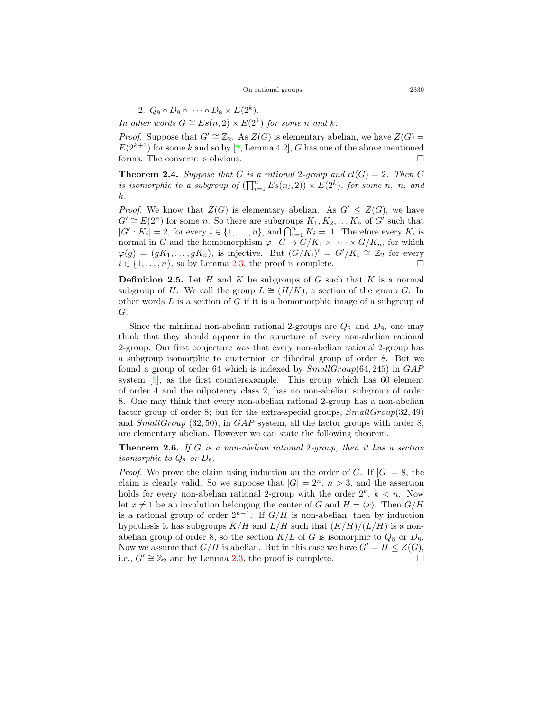#### On rational groups 2330

2.  $Q_8 \circ D_8 \circ \cdots \circ D_8 \times E(2^k)$ .

*In other words*  $G \cong Es(n, 2) \times E(2^k)$  *for some n and k.* 

*Proof.* Suppose that  $G' \cong \mathbb{Z}_2$ . As  $Z(G)$  is elementary abelian, we have  $Z(G)$  =  $E(2^{k+1})$  for some *k* and so by [\[2](#page-10-6), Lemma 4.2], *G* has one of the above mentioned forms. The converse is obvious. □

**Theorem 2.4.** *Suppose that G is a rational* 2*-group and*  $cl(G) = 2$ *. Then G is isomorphic to a subgroup of*  $(\prod_{i=1}^{n} Es(n_i, 2)) \times E(2^k)$ , for some *n*, *n<sub>i</sub>* and *k.*

*Proof.* We know that  $Z(G)$  is elementary abelian. As  $G' \leq Z(G)$ , we have  $G' \cong E(2^n)$  for some *n*. So there are subgroups  $K_1, K_2, \ldots K_n$  of  $G'$  such that  $|G' : K_i| = 2$ , for every  $i \in \{1, \ldots, n\}$ , and  $\bigcap_{i=1}^n K_i = 1$ . Therefore every  $K_i$  is normal in *G* and the homomorphism  $\varphi$  :  $G \to G/K_1 \times \cdots \times G/K_n$ , for which  $\varphi(g) = (gK_1, \ldots, gK_n)$ , is injective. But  $(G/K_i)' = G'/K_i \cong \mathbb{Z}_2$  for every  $i \in \{1, \ldots, n\}$ , so by Lemma [2.3](#page-3-1), the proof is complete. □

**Definition 2.5.** Let *H* and *K* be subgroups of *G* such that *K* is a normal subgroup of *H*. We call the group  $L \cong (H/K)$ , a section of the group *G*. In other words *L* is a section of *G* if it is a homomorphic image of a subgroup of *G*.

Since the minimal non-abelian rational 2-groups are  $Q_8$  and  $D_8$ , one may think that they should appear in the structure of every non-abelian rational 2-group. Our first conjecture was that every non-abelian rational 2-group has a subgroup isomorphic to quaternion or dihedral group of order 8. But we found a group of order 64 which is indexed by *SmallGroup*(64*,* 245) in *GAP* system[[5](#page-10-2)], as the first counterexample. This group which has 60 element of order 4 and the nilpotency class 2, has no non-abelian subgroup of order 8. One may think that every non-abelian rational 2-group has a non-abelian factor group of order 8; but for the extra-special groups, *SmallGroup*(32*,* 49) and *SmallGroup* (32*,* 50), in *GAP* system, all the factor groups with order 8, are elementary abelian. However we can state the following theorem.

**Theorem 2.6.** *If G is a non-abelian rational* 2*-group, then it has a section isomorphic to*  $Q_8$  *or*  $D_8$ *.* 

*Proof.* We prove the claim using induction on the order of *G*. If  $|G| = 8$ , the claim is clearly valid. So we suppose that  $|G| = 2^n$ ,  $n > 3$ , and the assertion holds for every non-abelian rational 2-group with the order  $2^k$ ,  $k < n$ . Now let  $x \neq 1$  be an involution belonging the center of *G* and  $H = \langle x \rangle$ . Then  $G/H$ is a rational group of order  $2^{n-1}$ . If  $G/H$  is non-abelian, then by induction hypothesis it has subgroups  $K/H$  and  $L/H$  such that  $(K/H)/(L/H)$  is a nonabelian group of order 8, so the section  $K/L$  of *G* is isomorphic to  $Q_8$  or  $D_8$ . Now we assume that  $G/H$  is abelian. But in this case we have  $G' = H \leq Z(G)$ , i.e.,  $G' \cong \mathbb{Z}_2$  and by Lemma [2.3,](#page-3-1) the proof is complete.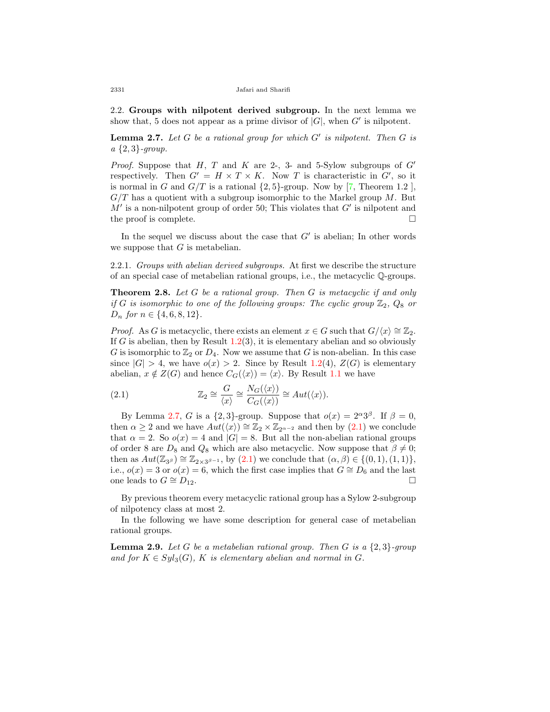2.2. **Groups with nilpotent derived subgroup.** In the next lemma we show that, 5 does not appear as a prime divisor of  $|G|$ , when  $G'$  is nilpotent.

<span id="page-5-0"></span>**Lemma 2.7.** *Let G be a rational group for which G′ is nilpotent. Then G is a {*2*,* 3*}-group.*

*Proof.* Suppose that *H*, *T* and *K* are 2-, 3- and 5-Sylow subgroups of *G<sup>'</sup>* respectively. Then  $G' = H \times T \times K$ . Now *T* is characteristic in  $G'$ , so it is normal in *G* and  $G/T$  is a rational  $\{2,5\}$ -group. Now by [\[7](#page-10-4), Theorem 1.2], *G/T* has a quotient with a subgroup isomorphic to the Markel group *M*. But *M′* is a non-nilpotent group of order 50; This violates that *G′* is nilpotent and the proof is complete. □

In the sequel we discuss about the case that *G′* is abelian; In other words we suppose that *G* is metabelian.

2.2.1. *Groups with abelian derived subgroups.* At first we describe the structure of an special case of metabelian rational groups, i.e., the metacyclic Q-groups.

**Theorem 2.8.** *Let G be a rational group. Then G is metacyclic if and only if G is isomorphic to one of the following groups: The cyclic group*  $\mathbb{Z}_2$ ,  $Q_8$  *or D<sup>n</sup> for n ∈ {*4*,* 6*,* 8*,* 12*}.*

*Proof.* As *G* is metacyclic, there exists an element  $x \in G$  such that  $G/\langle x \rangle \cong \mathbb{Z}_2$ . If *G* is abelian, then by Result  $1.2(3)$  $1.2(3)$ , it is elementary abelian and so obviously *G* is isomorphic to  $\mathbb{Z}_2$  or  $D_4$ . Now we assume that *G* is non-abelian. In this case since  $|G| > 4$ , we have  $o(x) > 2$ . Since by Result [1.2\(](#page-2-0)4),  $Z(G)$  is elementary abelian,  $x \notin Z(G)$  and hence  $C_G(\langle x \rangle) = \langle x \rangle$ . By Result [1.1](#page-2-1) we have

<span id="page-5-1"></span>(2.1) 
$$
\mathbb{Z}_2 \cong \frac{G}{\langle x \rangle} \cong \frac{N_G(\langle x \rangle)}{C_G(\langle x \rangle)} \cong Aut(\langle x \rangle).
$$

By Lemma [2.7,](#page-5-0) *G* is a  $\{2,3\}$ -group. Suppose that  $o(x) = 2^{\alpha}3^{\beta}$ . If  $\beta = 0$ , then  $\alpha \geq 2$  and we have  $Aut(\langle x \rangle) \cong \mathbb{Z}_2 \times \mathbb{Z}_{2^{\alpha-2}}$  and then by  $(2.1)$  we conclude that  $\alpha = 2$ . So  $o(x) = 4$  and  $|G| = 8$ . But all the non-abelian rational groups of order 8 are  $D_8$  and  $Q_8$  which are also metacyclic. Now suppose that  $\beta \neq 0$ ; thenas  $Aut(\mathbb{Z}_{3^{\beta}}) \cong \mathbb{Z}_{2 \times 3^{\beta-1}}$ , by ([2.1\)](#page-5-1) we conclude that  $(\alpha, \beta) \in \{(0, 1), (1, 1)\},$ i.e.,  $o(x) = 3$  or  $o(x) = 6$ , which the first case implies that  $G \cong D_6$  and the last one leads to  $G \cong D_{12}$ . □

By previous theorem every metacyclic rational group has a Sylow 2-subgroup of nilpotency class at most 2.

In the following we have some description for general case of metabelian rational groups.

<span id="page-5-2"></span>**Lemma 2.9.** *Let G be a metabelian rational group. Then G is a {*2*,* 3*}-group* and for  $K \in Syl_3(G)$ ,  $K$  *is elementary abelian and normal in G*.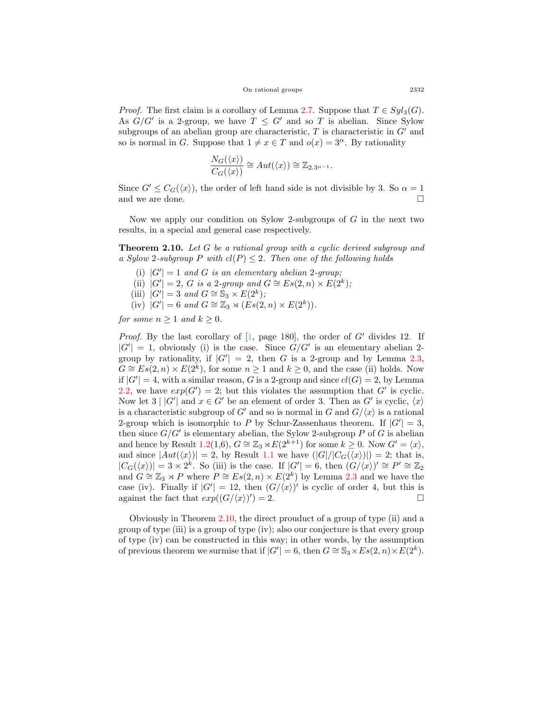*Proof.* The first claim is a corollary of Lemma [2.7.](#page-5-0) Suppose that  $T \in Syl_3(G)$ . As  $G/G'$  is a 2-group, we have  $T \leq G'$  and so T is abelian. Since Sylow subgroups of an abelian group are characteristic, *T* is characteristic in *G′* and so is normal in *G*. Suppose that  $1 \neq x \in T$  and  $o(x) = 3^\alpha$ . By rationality

$$
\frac{N_G(\langle x \rangle)}{C_G(\langle x \rangle)} \cong Aut(\langle x \rangle) \cong \mathbb{Z}_{2 \cdot 3^{\alpha - 1}}.
$$

Since  $G' \leq C_G(\langle x \rangle)$ , the order of left hand side is not divisible by 3. So  $\alpha = 1$ and we are done.  $\Box$ 

Now we apply our condition on Sylow 2-subgroups of *G* in the next two results, in a special and general case respectively.

<span id="page-6-0"></span>**Theorem 2.10.** *Let G be a rational group with a cyclic derived subgroup and a Sylow* 2*-subgroup P with cl*(*P*) *≤* 2*. Then one of the following holds*

- (i)  $|G'| = 1$  *and G is an elementary abelian* 2*-group*;
- (ii)  $|G'| = 2$ , *G is a* 2*-group and*  $G \cong Es(2, n) \times E(2^k)$ ;
- (iii)  $|G'| = 3$  *and*  $G \cong S_3 \times E(2^k)$ ;
- $(K) |G'| = 6$  *and*  $G \cong \mathbb{Z}_3 \rtimes (Es(2, n) \times E(2^k)).$

*for some*  $n \geq 1$  *and*  $k \geq 0$ *.* 

*Proof.* By the last corollary of[[1,](#page-10-7) page 180], the order of *G′* divides 12. If  $|G'| = 1$ , obviously (i) is the case. Since  $G/G'$  is an elementary abelian 2group by rationality, if  $|G'| = 2$ , then *G* is a 2-group and by Lemma [2.3](#page-3-1), *G*  $\cong$  *Es*(2*, n*)  $\times$  *E*(2<sup>*k*</sup>), for some *n* ≥ 1 and *k* ≥ 0, and the case (ii) holds. Now if  $|G'| = 4$ , with a similar reason, *G* is a 2-group and since  $cl(G) = 2$ , by Lemma [2.2,](#page-3-2) we have  $exp(G') = 2$ ; but this violates the assumption that G<sup>*'*</sup> is cyclic. Now let  $3 | G' |$  and  $x \in G'$  be an element of order 3. Then as  $G'$  is cyclic,  $\langle x \rangle$ is a characteristic subgroup of *G'* and so is normal in *G* and  $G/\langle x \rangle$  is a rational 2-group which is isomorphic to *P* by Schur-Zassenhaus theorem. If  $|G'| = 3$ , then since *G/G′* is elementary abelian, the Sylow 2-subgroup *P* of *G* is abelian and hence by Result [1.2](#page-2-0)(1,6),  $G \cong \mathbb{Z}_3 \rtimes E(2^{k+1})$  for some  $k \geq 0$ . Now  $G' = \langle x \rangle$ , and since  $|Aut(\langle x \rangle)| = 2$ , by Result [1.1](#page-2-1) we have  $(|G|/|C_G(\langle x \rangle)|) = 2$ ; that is,  $|C_G(\langle x \rangle)| = 3 \times 2^k$ . So (iii) is the case. If  $|G'| = 6$ , then  $(G/\langle x \rangle)' \cong P' \cong \mathbb{Z}_2$ and  $G \cong \mathbb{Z}_3 \rtimes P$  where  $P \cong Es(2, n) \times E(2^k)$  by Lemma [2.3](#page-3-1) and we have the case (iv). Finally if  $|G'| = 12$ , then  $(G/\langle x \rangle)'$  is cyclic of order 4, but this is against the fact that  $exp((G/\langle x \rangle)') = 2$ .

Obviously in Theorem [2.10,](#page-6-0) the direct prouduct of a group of type (ii) and a group of type (iii) is a group of type (iv); also our conjecture is that every group of type (iv) can be constructed in this way; in other words, by the assumption of previous theorem we surmise that if  $|G'| = 6$ , then  $G \cong \mathbb{S}_3 \times Es(2, n) \times E(2^k)$ .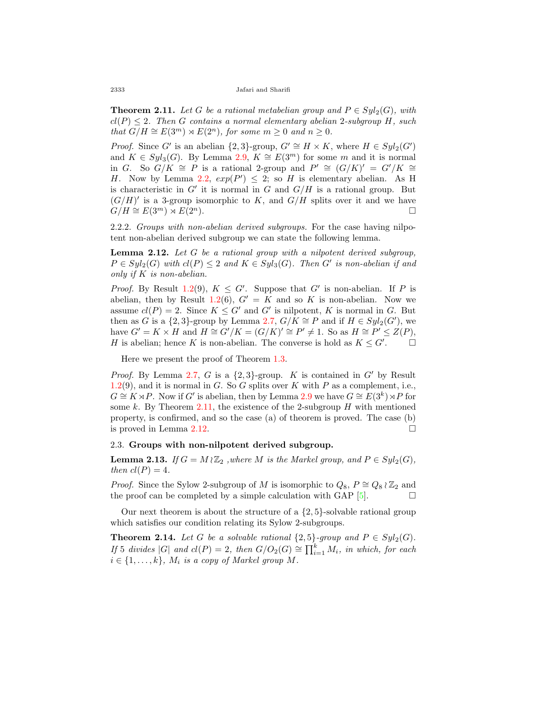<span id="page-7-0"></span>**Theorem 2.11.** Let G be a rational metabelian group and  $P \in Syl_2(G)$ , with  $cl(P) \leq 2$ *. Then G contains a normal elementary abelian* 2*-subgroup H, such that*  $G/H \cong E(3^m) \rtimes E(2^n)$ *, for some*  $m \geq 0$  *and*  $n \geq 0$ *.* 

*Proof.* Since *G*<sup>*'*</sup> is an abelian  $\{2,3\}$ -group,  $G' \cong H \times K$ , where  $H \in Syl_2(G')$ and  $K \in Syl_3(G)$ . By Lemma [2.9,](#page-5-2)  $K \cong E(3^m)$  for some *m* and it is normal in *G*. So  $G/K \cong P$  is a rational 2-group and  $P' \cong (G/K)' = G'/K \cong$ *H*. Now by Lemma [2.2,](#page-3-2)  $exp(P') \leq 2$ ; so *H* is elementary abelian. As H is characteristic in  $G'$  it is normal in  $G$  and  $G/H$  is a rational group. But  $(G/H)'$  is a 3-group isomorphic to K, and  $G/H$  splits over it and we have  $G/H \cong E(3^m) \rtimes E(2^n).$ 

2.2.2. *Groups with non-abelian derived subgroups.* For the case having nilpotent non-abelian derived subgroup we can state the following lemma.

<span id="page-7-1"></span>**Lemma 2.12.** *Let G be a rational group with a nilpotent derived subgroup,*  $P \in Syl_2(G)$  *with*  $cl(P) \leq 2$  *and*  $K \in Syl_3(G)$ *. Then*  $G'$  *is non-abelian if and only if K is non-abelian.*

*Proof.* By Result [1.2\(](#page-2-0)9),  $K \leq G'$ . Suppose that  $G'$  is non-abelian. If P is abelian, then by Result [1.2\(](#page-2-0)6),  $G' = K$  and so K is non-abelian. Now we assume  $cl(P) = 2$ . Since  $K \leq G'$  and  $G'$  is nilpotent,  $K$  is normal in  $G$ . But then as *G* is a {2,3}-group by Lemma [2.7,](#page-5-0)  $G/K \cong P$  and if  $H \in Syl_2(G')$ , we have  $G' = K \times H$  and  $H \cong G'/K = (G/K)' \cong P' \neq 1$ . So as  $H \cong P' \leq Z(P)$ , *H* is abelian; hence *K* is non-abelian. The converse is hold as  $K \leq G'$ .  $\Box$ 

Here we present the proof of Theorem [1.3](#page-2-2).

*Proof.* By Lemma [2.7](#page-5-0), *G* is a  $\{2,3\}$ -group. *K* is contained in *G<sup>'</sup>* by Result [1.2\(](#page-2-0)9), and it is normal in *G*. So *G* splits over *K* with *P* as a complement, i.e.,  $G \cong K \rtimes P$ . Now if *G*<sup>*'*</sup> is abelian, then by Lemma [2.9](#page-5-2) we have  $G \cong E(3^k) \rtimes P$  for some *k*. By Theorem [2.11,](#page-7-0) the existence of the 2-subgroup *H* with mentioned property, is confirmed, and so the case (a) of theorem is proved. The case (b) is proved in Lemma  $2.12$ .  $\Box$ 

## 2.3. **Groups with non-nilpotent derived subgroup.**

<span id="page-7-2"></span>**Lemma 2.13.** *If*  $G = M \wr \mathbb{Z}_2$  *,where*  $M$  *is the Markel group, and*  $P \in Syl_2(G)$ *, then*  $cl(P) = 4$ *.* 

*Proof.* Since the Sylow 2-subgroup of *M* is isomorphic to  $Q_8$ ,  $P \cong Q_8 \wr \mathbb{Z}_2$  and the proof can be completed by a simple calculation with GAP  $[5]$ .

Our next theorem is about the structure of a *{*2*,* 5*}*-solvable rational group which satisfies our condition relating its Sylow 2-subgroups.

<span id="page-7-3"></span>**Theorem 2.14.** *Let G be a solvable rational*  $\{2,5\}$ *-group and*  $P \in Syl_2(G)$ *. If* 5 *divides*  $|G|$  *and*  $cl(P) = 2$ *, then*  $G/O_2(G) \cong \prod_{i=1}^k M_i$ *, in which, for each*  $i \in \{1, \ldots, k\}$ ,  $M_i$  *is a copy of Markel group*  $M$ *.*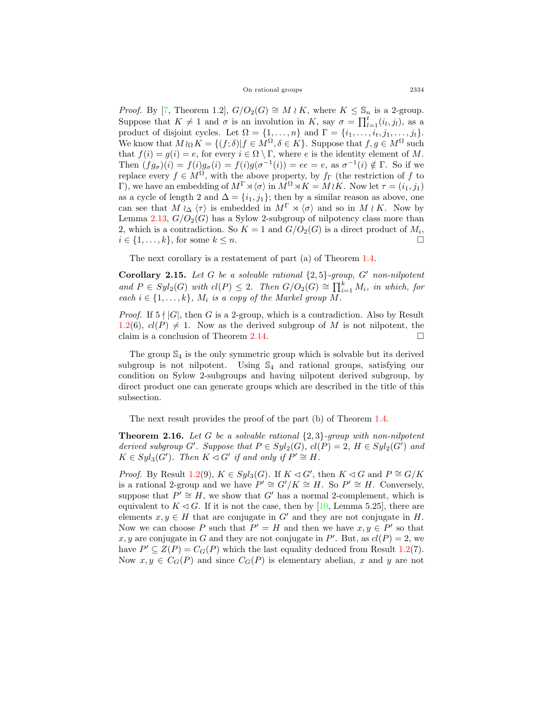On rational groups 2334

*Proof.* By [\[7](#page-10-4), Theorem 1.2],  $G/O_2(G) \cong M \wr K$ , where  $K \leq \mathbb{S}_n$  is a 2-group. Suppose that  $K \neq 1$  and  $\sigma$  is an involution in *K*, say  $\sigma = \prod_{l=1}^{t} (i_l, j_l)$ , as a product of disjoint cycles. Let  $\Omega = \{1, \ldots, n\}$  and  $\Gamma = \{i_1, \ldots, i_t, j_1, \ldots, j_t\}.$ We know that  $M \wr_{\Omega} K = \{ (f; \delta) | f \in M^{\Omega}, \delta \in K \}$ . Suppose that  $f, g \in M^{\Omega}$  such that  $f(i) = g(i) = e$ , for every  $i \in \Omega \setminus \Gamma$ , where *e* is the identity element of *M*. Then  $(fg_{\sigma})(i) = f(i)g_{\sigma}(i) = f(i)g(\sigma^{-1}(i)) = ee = e$ , as  $\sigma^{-1}(i) \notin \Gamma$ . So if we replace every  $f \in M^{\Omega}$ , with the above property, by  $f_{\Gamma}$  (the restriction of *f* to Γ), we have an embedding of  $M^{\Gamma} \rtimes \langle \sigma \rangle$  in  $M^{\Omega} \rtimes K = M \wr K$ . Now let  $\tau = (i_1, j_1)$ as a cycle of length 2 and  $\Delta = \{i_1, j_1\}$ ; then by a similar reason as above, one can see that  $M \wr_{\Delta} \langle \tau \rangle$  is embedded in  $M^{\Gamma} \rtimes \langle \sigma \rangle$  and so in  $M \wr K$ . Now by Lemma  $2.13$ ,  $G/O<sub>2</sub>(G)$  has a Sylow 2-subgroup of nilpotency class more than 2, which is a contradiction. So  $K = 1$  and  $G/O<sub>2</sub>(G)$  is a direct product of  $M<sub>i</sub>$ ,  $i \in \{1, \ldots, k\}$ , for some  $k \leq n$ . □

The next corollary is a restatement of part (a) of Theorem [1.4](#page-3-3).

**Corollary 2.15.** *Let G be a solvable rational {*2*,* 5*}-group, G′ non-nilpotent and*  $P \in Syl_2(G)$  *with*  $cl(P) \leq 2$ *. Then*  $G/O_2(G) \cong \prod_{i=1}^k M_i$ *, in which, for each*  $i \in \{1, \ldots, k\}$ ,  $M_i$  *is a copy of the Markel group*  $M$ *.* 

*Proof.* If  $5 \nmid |G|$ , then *G* is a 2-group, which is a contradiction. Also by Result [1.2\(](#page-2-0)6),  $cl(P) \neq 1$ . Now as the derived subgroup of *M* is not nilpotent, the claim is a conclusion of Theorem  $2.14$ .  $\Box$ 

The group  $\mathbb{S}_4$  is the only symmetric group which is solvable but its derived subgroup is not nilpotent. Using  $\mathbb{S}_4$  and rational groups, satisfying our condition on Sylow 2-subgroups and having nilpotent derived subgroup, by direct product one can generate groups which are described in the title of this subsection.

The next result provides the proof of the part (b) of Theorem [1.4](#page-3-3).

**Theorem 2.16.** *Let G be a solvable rational {*2*,* 3*}-group with non-nilpotent derived subgroup*  $G'$ *. Suppose that*  $P \in Syl_2(G)$ *,*  $cl(P) = 2$ *,*  $H \in Syl_2(G')$  *and*  $K \in Syl_3(G')$ *. Then*  $K \triangleleft G'$  *if and only if*  $P' \cong H$ *.* 

*Proof.* By Result [1.2](#page-2-0)(9),  $K \in Syl_3(G)$ . If  $K \lhd G'$ , then  $K \lhd G$  and  $P \cong G/K$ is a rational 2-group and we have  $P' \cong G'/K \cong H$ . So  $P' \cong H$ . Conversely, suppose that  $P' \cong H$ , we show that  $G'$  has a normal 2-complement, which is equivalent to  $K \triangleleft G$ . If it is not the case, then by [\[10](#page-10-8), Lemma 5.25], there are elements  $x, y \in H$  that are conjugate in  $G'$  and they are not conjugate in *H*. Now we can choose P such that  $P' = H$  and then we have  $x, y \in P'$  so that x, y are conjugate in G and they are not conjugate in  $P'$ . But, as  $cl(P) = 2$ , we have  $P' \subseteq Z(P) = C_G(P)$  which the last equality deduced from Result [1.2\(](#page-2-0)7). Now  $x, y \in C_G(P)$  and since  $C_G(P)$  is elementary abelian, x and y are not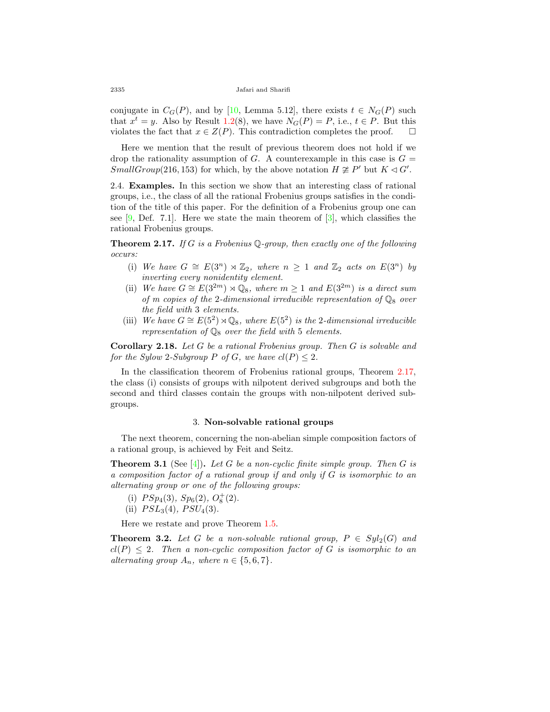conjugatein  $C_G(P)$ , and by [[10,](#page-10-8) Lemma 5.12], there exists  $t \in N_G(P)$  such that  $x^t = y$ . Also by Result [1.2](#page-2-0)(8), we have  $N_G(P) = P$ , i.e.,  $t \in P$ . But this violates the fact that  $x \in Z(P)$ . This contradiction completes the proof.  $\square$ 

Here we mention that the result of previous theorem does not hold if we drop the rationality assumption of *G*. A counterexample in this case is  $G =$ *SmallGroup*(216, 153) for which, by the above notation  $H \not\cong P'$  but  $K \triangleleft G'$ .

2.4. **Examples.** In this section we show that an interesting class of rational groups, i.e., the class of all the rational Frobenius groups satisfies in the condition of the title of this paper. For the definition of a Frobenius group one can see $[9,$  $[9,$  Def. 7.1]. Here we state the main theorem of  $[3]$  $[3]$ , which classifies the rational Frobenius groups.

<span id="page-9-0"></span>**Theorem 2.17.** *If G is a Frobenius* Q*-group, then exactly one of the following occurs:*

- (i) We have  $G \cong E(3^n) \rtimes \mathbb{Z}_2$ , where  $n \geq 1$  and  $\mathbb{Z}_2$  acts on  $E(3^n)$  by *inverting every nonidentity element.*
- (ii) *We have*  $G \cong E(3^{2m}) \rtimes \mathbb{Q}_8$ , where  $m \geq 1$  and  $E(3^{2m})$  *is a direct sum of m copies of the 2-dimensional irreducible representation of*  $\mathbb{Q}_8$  *over the field with* 3 *elements.*
- (iii) *We have*  $G \cong E(5^2) \rtimes \mathbb{Q}_8$ , where  $E(5^2)$  *is the* 2*-dimensional irreducible representation of* Q<sup>8</sup> *over the field with* 5 *elements.*

**Corollary 2.18.** *Let G be a rational Frobenius group. Then G is solvable and for the Sylow 2-Subgroup P of G, we have*  $cl(P) \leq 2$ *.* 

In the classification theorem of Frobenius rational groups, Theorem [2.17](#page-9-0), the class (i) consists of groups with nilpotent derived subgroups and both the second and third classes contain the groups with non-nilpotent derived subgroups.

## 3. **Non-solvable rational groups**

The next theorem, concerning the non-abelian simple composition factors of a rational group, is achieved by Feit and Seitz.

<span id="page-9-1"></span>**Theorem 3.1** (See[[4\]](#page-10-11))**.** *Let G be a non-cyclic finite simple group. Then G is a composition factor of a rational group if and only if G is isomorphic to an alternating group or one of the following groups:*

- (i)  $PSp_4(3)$ ,  $Sp_6(2)$ ,  $O_8^+(2)$ .
- (ii)  $PSL_3(4)$ ,  $PSU_4(3)$ .

Here we restate and prove Theorem [1.5](#page-3-4).

**Theorem 3.2.** *Let G be a non-solvable rational group,*  $P \in Syl_2(G)$  *and*  $cl(P) \leq 2$ . Then a non-cyclic composition factor of G is isomorphic to an *alternating group*  $A_n$ *, where*  $n \in \{5, 6, 7\}$ *.*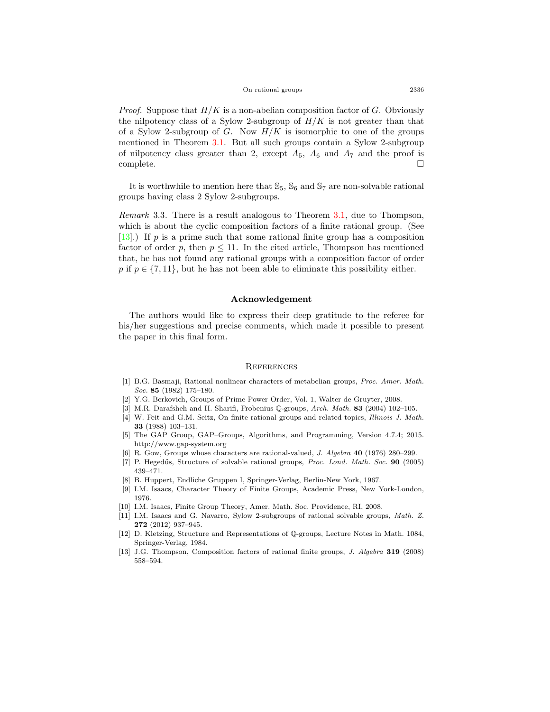*Proof.* Suppose that *H/K* is a non-abelian composition factor of *G*. Obviously the nilpotency class of a Sylow 2-subgroup of  $H/K$  is not greater than that of a Sylow 2-subgroup of *G*. Now *H/K* is isomorphic to one of the groups mentioned in Theorem [3.1](#page-9-1). But all such groups contain a Sylow 2-subgroup of nilpotency class greater than 2, except  $A_5$ ,  $A_6$  and  $A_7$  and the proof is complete.  $\Box$ 

It is worthwhile to mention here that  $\mathbb{S}_5$ ,  $\mathbb{S}_6$  and  $\mathbb{S}_7$  are non-solvable rational groups having class 2 Sylow 2-subgroups.

*Remark* 3.3*.* There is a result analogous to Theorem [3.1](#page-9-1), due to Thompson, which is about the cyclic composition factors of a finite rational group. (See [[13\]](#page-10-12).) If *p* is a prime such that some rational finite group has a composition factor of order  $p$ , then  $p \leq 11$ . In the cited article, Thompson has mentioned that, he has not found any rational groups with a composition factor of order *p* if  $p \in \{7, 11\}$ , but he has not been able to eliminate this possibility either.

## **Acknowledgement**

The authors would like to express their deep gratitude to the referee for his/her suggestions and precise comments, which made it possible to present the paper in this final form.

#### **REFERENCES**

- <span id="page-10-7"></span>[1] B.G. Basmaji, Rational nonlinear characters of metabelian groups, *Proc. Amer. Math. Soc.* **85** (1982) 175–180.
- <span id="page-10-6"></span>[2] Y.G. Berkovich, Groups of Prime Power Order, Vol. 1, Walter de Gruyter, 2008.
- <span id="page-10-10"></span>[3] M.R. Darafsheh and H. Sharifi, Frobenius Q-groups, *Arch. Math.* **83** (2004) 102–105.
- <span id="page-10-11"></span>[4] W. Feit and G.M. Seitz, On finite rational groups and related topics, *Illinois J. Math.* **33** (1988) 103–131.
- <span id="page-10-2"></span>[5] The GAP Group, GAP–Groups, Algorithms, and Programming, Version 4.7.4; 2015. http://www.gap-system.org
- <span id="page-10-0"></span>[6] R. Gow, Groups whose characters are rational-valued, *J. Algebra* **40** (1976) 280–299.
- <span id="page-10-4"></span>[7] P. Hegedűs, Structure of solvable rational groups, *Proc. Lond. Math. Soc.* **90** (2005) 439–471.
- <span id="page-10-5"></span>[8] B. Huppert, Endliche Gruppen I, Springer-Verlag, Berlin-New York, 1967.
- <span id="page-10-9"></span>[9] I.M. Isaacs, Character Theory of Finite Groups, Academic Press, New York-London, 1976.
- <span id="page-10-8"></span>[10] I.M. Isaacs, Finite Group Theory, Amer. Math. Soc. Providence, RI, 2008.
- <span id="page-10-1"></span>[11] I.M. Isaacs and G. Navarro, Sylow 2-subgroups of rational solvable groups, *Math. Z.* **272** (2012) 937–945.
- <span id="page-10-3"></span>[12] D. Kletzing, Structure and Representations of Q-groups, Lecture Notes in Math. 1084, Springer-Verlag, 1984.
- <span id="page-10-12"></span>[13] J.G. Thompson, Composition factors of rational finite groups, *J. Algebra* **319** (2008) 558–594.